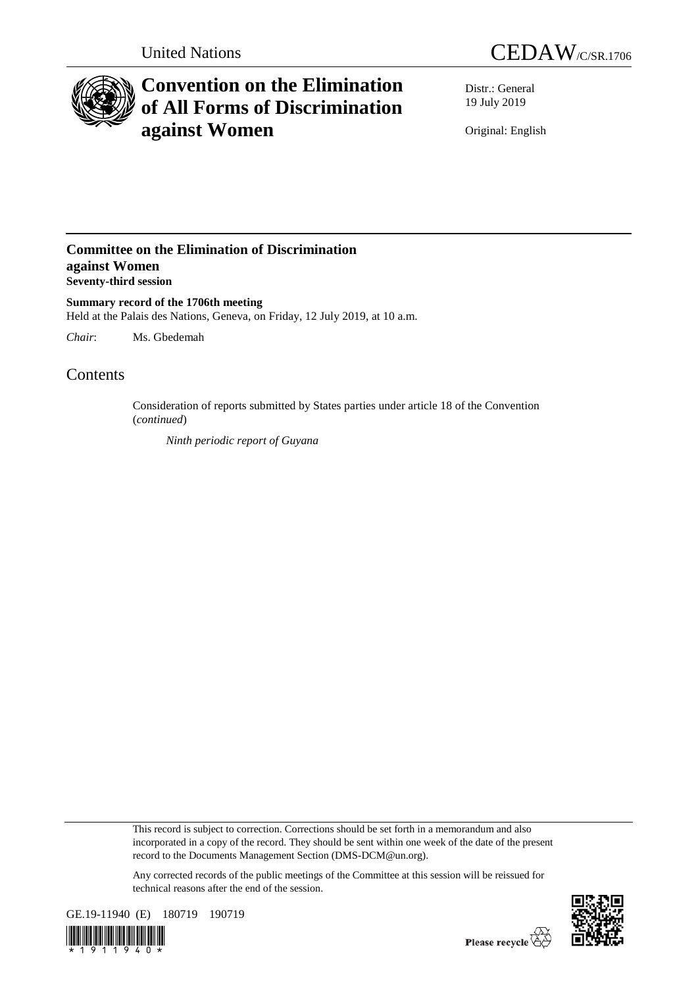



# **Convention on the Elimination of All Forms of Discrimination against Women**

Distr.: General 19 July 2019

Original: English

### **Committee on the Elimination of Discrimination against Women Seventy-third session**

**Summary record of the 1706th meeting** Held at the Palais des Nations, Geneva, on Friday, 12 July 2019, at 10 a.m.

*Chair*: Ms. Gbedemah

## Contents

Consideration of reports submitted by States parties under article 18 of the Convention (*continued*)

*Ninth periodic report of Guyana*

This record is subject to correction. Corrections should be set forth in a memorandum and also incorporated in a copy of the record. They should be sent within one week of the date of the present record to the Documents Management Section (DMS-DCM@un.org).

Any corrected records of the public meetings of the Committee at this session will be reissued for technical reasons after the end of the session.



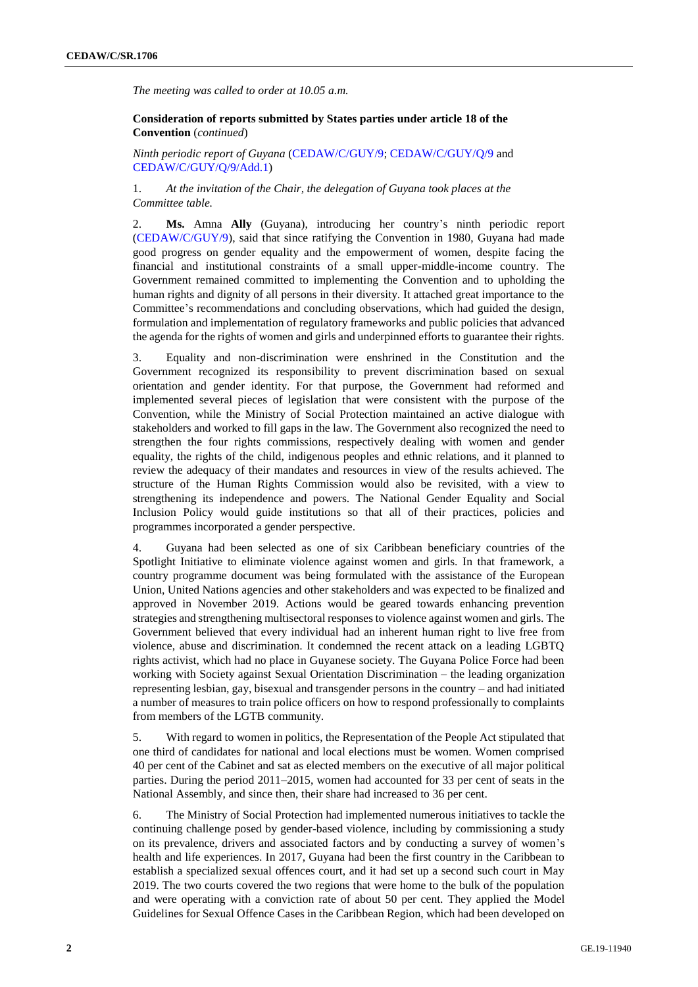*The meeting was called to order at 10.05 a.m.*

**Consideration of reports submitted by States parties under article 18 of the Convention** (*continued*)

*Ninth periodic report of Guyana* [\(CEDAW/C/GUY/9;](http://undocs.org/en/CEDAW/C/GUY/9) [CEDAW/C/GUY/Q/9](http://undocs.org/en/CEDAW/C/GUY/Q/9) and [CEDAW/C/GUY/Q/9/Add.1\)](http://undocs.org/en/CEDAW/C/GUY/Q/9/Add.1)

1. *At the invitation of the Chair, the delegation of Guyana took places at the Committee table.* 

2. **Ms.** Amna **Ally** (Guyana), introducing her country's ninth periodic report [\(CEDAW/C/GUY/9\)](http://undocs.org/en/CEDAW/C/GUY/9), said that since ratifying the Convention in 1980, Guyana had made good progress on gender equality and the empowerment of women, despite facing the financial and institutional constraints of a small upper-middle-income country. The Government remained committed to implementing the Convention and to upholding the human rights and dignity of all persons in their diversity. It attached great importance to the Committee's recommendations and concluding observations, which had guided the design, formulation and implementation of regulatory frameworks and public policies that advanced the agenda for the rights of women and girls and underpinned efforts to guarantee their rights.

3. Equality and non-discrimination were enshrined in the Constitution and the Government recognized its responsibility to prevent discrimination based on sexual orientation and gender identity. For that purpose, the Government had reformed and implemented several pieces of legislation that were consistent with the purpose of the Convention, while the Ministry of Social Protection maintained an active dialogue with stakeholders and worked to fill gaps in the law. The Government also recognized the need to strengthen the four rights commissions, respectively dealing with women and gender equality, the rights of the child, indigenous peoples and ethnic relations, and it planned to review the adequacy of their mandates and resources in view of the results achieved. The structure of the Human Rights Commission would also be revisited, with a view to strengthening its independence and powers. The National Gender Equality and Social Inclusion Policy would guide institutions so that all of their practices, policies and programmes incorporated a gender perspective.

4. Guyana had been selected as one of six Caribbean beneficiary countries of the Spotlight Initiative to eliminate violence against women and girls. In that framework, a country programme document was being formulated with the assistance of the European Union, United Nations agencies and other stakeholders and was expected to be finalized and approved in November 2019. Actions would be geared towards enhancing prevention strategies and strengthening multisectoral responses to violence against women and girls. The Government believed that every individual had an inherent human right to live free from violence, abuse and discrimination. It condemned the recent attack on a leading LGBTQ rights activist, which had no place in Guyanese society. The Guyana Police Force had been working with Society against Sexual Orientation Discrimination – the leading organization representing lesbian, gay, bisexual and transgender persons in the country – and had initiated a number of measures to train police officers on how to respond professionally to complaints from members of the LGTB community.

5. With regard to women in politics, the Representation of the People Act stipulated that one third of candidates for national and local elections must be women. Women comprised 40 per cent of the Cabinet and sat as elected members on the executive of all major political parties. During the period 2011–2015, women had accounted for 33 per cent of seats in the National Assembly, and since then, their share had increased to 36 per cent.

6. The Ministry of Social Protection had implemented numerous initiatives to tackle the continuing challenge posed by gender-based violence, including by commissioning a study on its prevalence, drivers and associated factors and by conducting a survey of women's health and life experiences. In 2017, Guyana had been the first country in the Caribbean to establish a specialized sexual offences court, and it had set up a second such court in May 2019. The two courts covered the two regions that were home to the bulk of the population and were operating with a conviction rate of about 50 per cent. They applied the Model Guidelines for Sexual Offence Cases in the Caribbean Region, which had been developed on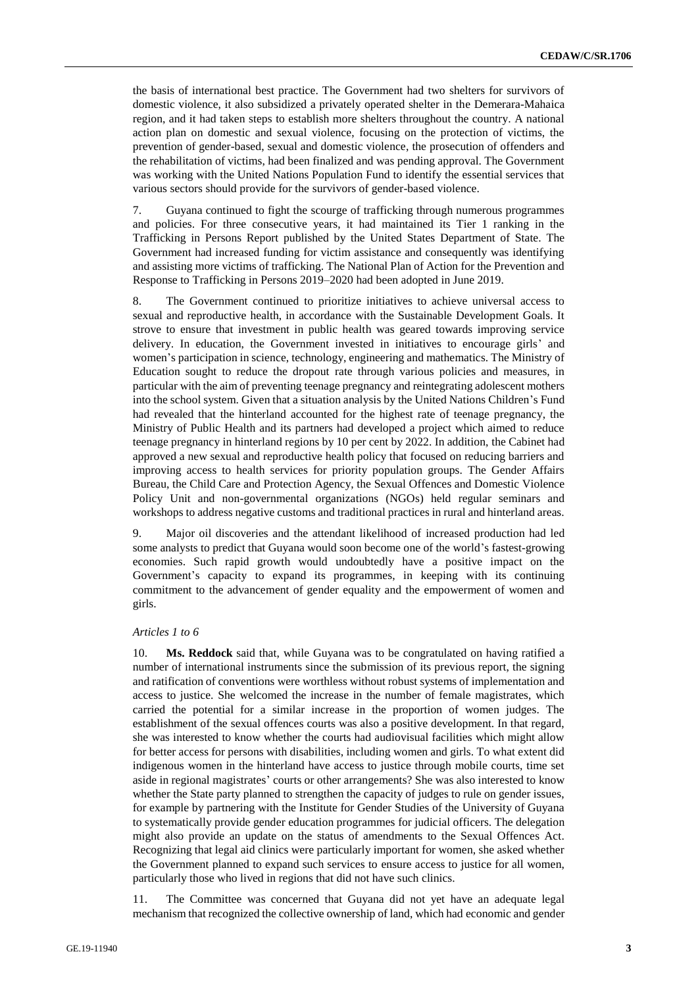the basis of international best practice. The Government had two shelters for survivors of domestic violence, it also subsidized a privately operated shelter in the Demerara-Mahaica region, and it had taken steps to establish more shelters throughout the country. A national action plan on domestic and sexual violence, focusing on the protection of victims, the prevention of gender-based, sexual and domestic violence, the prosecution of offenders and the rehabilitation of victims, had been finalized and was pending approval. The Government was working with the United Nations Population Fund to identify the essential services that various sectors should provide for the survivors of gender-based violence.

7. Guyana continued to fight the scourge of trafficking through numerous programmes and policies. For three consecutive years, it had maintained its Tier 1 ranking in the Trafficking in Persons Report published by the United States Department of State. The Government had increased funding for victim assistance and consequently was identifying and assisting more victims of trafficking. The National Plan of Action for the Prevention and Response to Trafficking in Persons 2019–2020 had been adopted in June 2019.

8. The Government continued to prioritize initiatives to achieve universal access to sexual and reproductive health, in accordance with the Sustainable Development Goals. It strove to ensure that investment in public health was geared towards improving service delivery. In education, the Government invested in initiatives to encourage girls' and women's participation in science, technology, engineering and mathematics. The Ministry of Education sought to reduce the dropout rate through various policies and measures, in particular with the aim of preventing teenage pregnancy and reintegrating adolescent mothers into the school system. Given that a situation analysis by the United Nations Children's Fund had revealed that the hinterland accounted for the highest rate of teenage pregnancy, the Ministry of Public Health and its partners had developed a project which aimed to reduce teenage pregnancy in hinterland regions by 10 per cent by 2022. In addition, the Cabinet had approved a new sexual and reproductive health policy that focused on reducing barriers and improving access to health services for priority population groups. The Gender Affairs Bureau, the Child Care and Protection Agency, the Sexual Offences and Domestic Violence Policy Unit and non-governmental organizations (NGOs) held regular seminars and workshops to address negative customs and traditional practices in rural and hinterland areas.

9. Major oil discoveries and the attendant likelihood of increased production had led some analysts to predict that Guyana would soon become one of the world's fastest-growing economies. Such rapid growth would undoubtedly have a positive impact on the Government's capacity to expand its programmes, in keeping with its continuing commitment to the advancement of gender equality and the empowerment of women and girls.

#### *Articles 1 to 6*

10. **Ms. Reddock** said that, while Guyana was to be congratulated on having ratified a number of international instruments since the submission of its previous report, the signing and ratification of conventions were worthless without robust systems of implementation and access to justice. She welcomed the increase in the number of female magistrates, which carried the potential for a similar increase in the proportion of women judges. The establishment of the sexual offences courts was also a positive development. In that regard, she was interested to know whether the courts had audiovisual facilities which might allow for better access for persons with disabilities, including women and girls. To what extent did indigenous women in the hinterland have access to justice through mobile courts, time set aside in regional magistrates' courts or other arrangements? She was also interested to know whether the State party planned to strengthen the capacity of judges to rule on gender issues, for example by partnering with the Institute for Gender Studies of the University of Guyana to systematically provide gender education programmes for judicial officers. The delegation might also provide an update on the status of amendments to the Sexual Offences Act. Recognizing that legal aid clinics were particularly important for women, she asked whether the Government planned to expand such services to ensure access to justice for all women, particularly those who lived in regions that did not have such clinics.

11. The Committee was concerned that Guyana did not yet have an adequate legal mechanism that recognized the collective ownership of land, which had economic and gender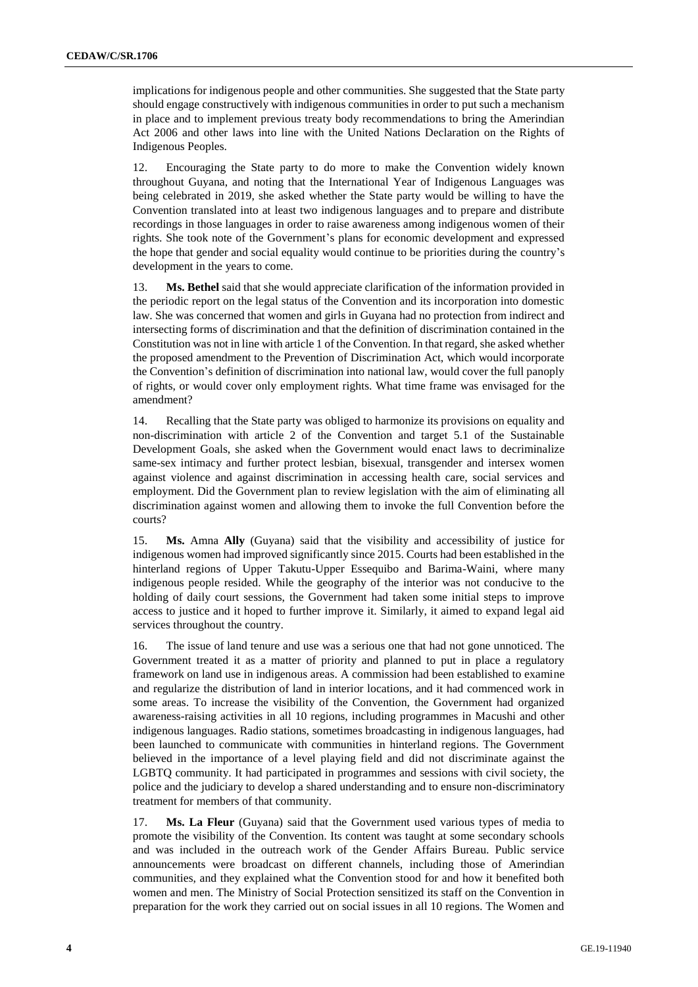implications for indigenous people and other communities. She suggested that the State party should engage constructively with indigenous communities in order to put such a mechanism in place and to implement previous treaty body recommendations to bring the Amerindian Act 2006 and other laws into line with the United Nations Declaration on the Rights of Indigenous Peoples.

12. Encouraging the State party to do more to make the Convention widely known throughout Guyana, and noting that the International Year of Indigenous Languages was being celebrated in 2019, she asked whether the State party would be willing to have the Convention translated into at least two indigenous languages and to prepare and distribute recordings in those languages in order to raise awareness among indigenous women of their rights. She took note of the Government's plans for economic development and expressed the hope that gender and social equality would continue to be priorities during the country's development in the years to come.

13. **Ms. Bethel** said that she would appreciate clarification of the information provided in the periodic report on the legal status of the Convention and its incorporation into domestic law. She was concerned that women and girls in Guyana had no protection from indirect and intersecting forms of discrimination and that the definition of discrimination contained in the Constitution was not in line with article 1 of the Convention. In that regard, she asked whether the proposed amendment to the Prevention of Discrimination Act, which would incorporate the Convention's definition of discrimination into national law, would cover the full panoply of rights, or would cover only employment rights. What time frame was envisaged for the amendment?

14. Recalling that the State party was obliged to harmonize its provisions on equality and non-discrimination with article 2 of the Convention and target 5.1 of the Sustainable Development Goals, she asked when the Government would enact laws to decriminalize same-sex intimacy and further protect lesbian, bisexual, transgender and intersex women against violence and against discrimination in accessing health care, social services and employment. Did the Government plan to review legislation with the aim of eliminating all discrimination against women and allowing them to invoke the full Convention before the courts?

15. **Ms.** Amna **Ally** (Guyana) said that the visibility and accessibility of justice for indigenous women had improved significantly since 2015. Courts had been established in the hinterland regions of Upper Takutu-Upper Essequibo and Barima-Waini, where many indigenous people resided. While the geography of the interior was not conducive to the holding of daily court sessions, the Government had taken some initial steps to improve access to justice and it hoped to further improve it. Similarly, it aimed to expand legal aid services throughout the country.

16. The issue of land tenure and use was a serious one that had not gone unnoticed. The Government treated it as a matter of priority and planned to put in place a regulatory framework on land use in indigenous areas. A commission had been established to examine and regularize the distribution of land in interior locations, and it had commenced work in some areas. To increase the visibility of the Convention, the Government had organized awareness-raising activities in all 10 regions, including programmes in Macushi and other indigenous languages. Radio stations, sometimes broadcasting in indigenous languages, had been launched to communicate with communities in hinterland regions. The Government believed in the importance of a level playing field and did not discriminate against the LGBTQ community. It had participated in programmes and sessions with civil society, the police and the judiciary to develop a shared understanding and to ensure non-discriminatory treatment for members of that community.

17. **Ms. La Fleur** (Guyana) said that the Government used various types of media to promote the visibility of the Convention. Its content was taught at some secondary schools and was included in the outreach work of the Gender Affairs Bureau. Public service announcements were broadcast on different channels, including those of Amerindian communities, and they explained what the Convention stood for and how it benefited both women and men. The Ministry of Social Protection sensitized its staff on the Convention in preparation for the work they carried out on social issues in all 10 regions. The Women and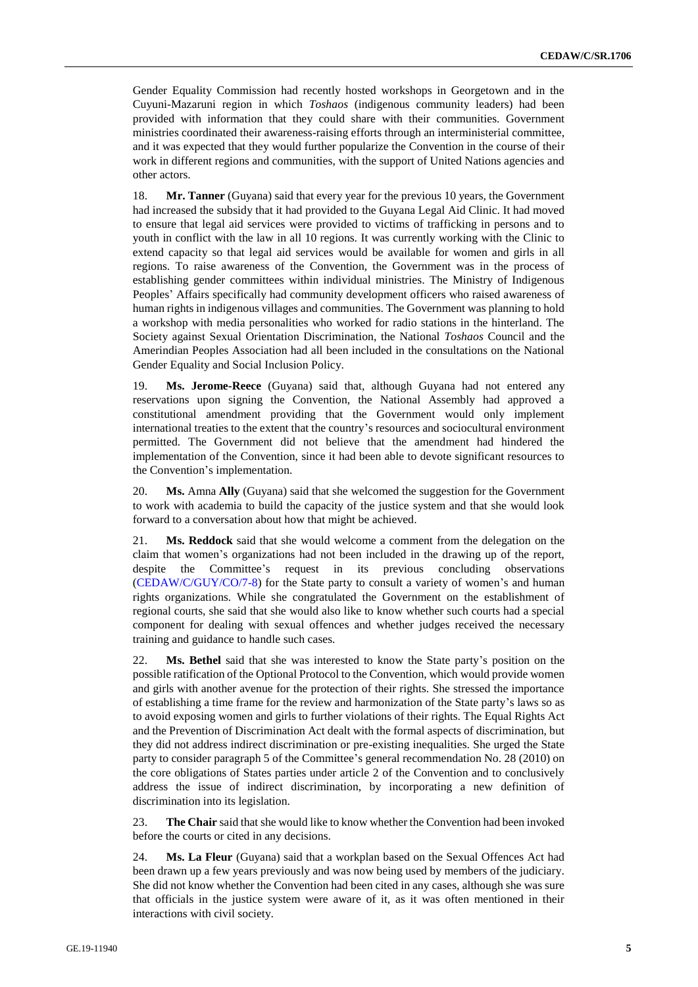Gender Equality Commission had recently hosted workshops in Georgetown and in the Cuyuni-Mazaruni region in which *Toshaos* (indigenous community leaders) had been provided with information that they could share with their communities. Government ministries coordinated their awareness-raising efforts through an interministerial committee, and it was expected that they would further popularize the Convention in the course of their work in different regions and communities, with the support of United Nations agencies and other actors.

18. **Mr. Tanner** (Guyana) said that every year for the previous 10 years, the Government had increased the subsidy that it had provided to the Guyana Legal Aid Clinic. It had moved to ensure that legal aid services were provided to victims of trafficking in persons and to youth in conflict with the law in all 10 regions. It was currently working with the Clinic to extend capacity so that legal aid services would be available for women and girls in all regions. To raise awareness of the Convention, the Government was in the process of establishing gender committees within individual ministries. The Ministry of Indigenous Peoples' Affairs specifically had community development officers who raised awareness of human rights in indigenous villages and communities. The Government was planning to hold a workshop with media personalities who worked for radio stations in the hinterland. The Society against Sexual Orientation Discrimination, the National *Toshaos* Council and the Amerindian Peoples Association had all been included in the consultations on the National Gender Equality and Social Inclusion Policy.

19. **Ms. Jerome-Reece** (Guyana) said that, although Guyana had not entered any reservations upon signing the Convention, the National Assembly had approved a constitutional amendment providing that the Government would only implement international treaties to the extent that the country's resources and sociocultural environment permitted. The Government did not believe that the amendment had hindered the implementation of the Convention, since it had been able to devote significant resources to the Convention's implementation.

20. **Ms.** Amna **Ally** (Guyana) said that she welcomed the suggestion for the Government to work with academia to build the capacity of the justice system and that she would look forward to a conversation about how that might be achieved.

21. **Ms. Reddock** said that she would welcome a comment from the delegation on the claim that women's organizations had not been included in the drawing up of the report, despite the Committee's request in its previous concluding observations [\(CEDAW/C/GUY/CO/7-8\)](http://undocs.org/en/CEDAW/C/GUY/CO/7-8) for the State party to consult a variety of women's and human rights organizations. While she congratulated the Government on the establishment of regional courts, she said that she would also like to know whether such courts had a special component for dealing with sexual offences and whether judges received the necessary training and guidance to handle such cases.

22. **Ms. Bethel** said that she was interested to know the State party's position on the possible ratification of the Optional Protocol to the Convention, which would provide women and girls with another avenue for the protection of their rights. She stressed the importance of establishing a time frame for the review and harmonization of the State party's laws so as to avoid exposing women and girls to further violations of their rights. The Equal Rights Act and the Prevention of Discrimination Act dealt with the formal aspects of discrimination, but they did not address indirect discrimination or pre-existing inequalities. She urged the State party to consider paragraph 5 of the Committee's general recommendation No. 28 (2010) on the core obligations of States parties under article 2 of the Convention and to conclusively address the issue of indirect discrimination, by incorporating a new definition of discrimination into its legislation.

23. **The Chair** said that she would like to know whether the Convention had been invoked before the courts or cited in any decisions.

24. **Ms. La Fleur** (Guyana) said that a workplan based on the Sexual Offences Act had been drawn up a few years previously and was now being used by members of the judiciary. She did not know whether the Convention had been cited in any cases, although she was sure that officials in the justice system were aware of it, as it was often mentioned in their interactions with civil society.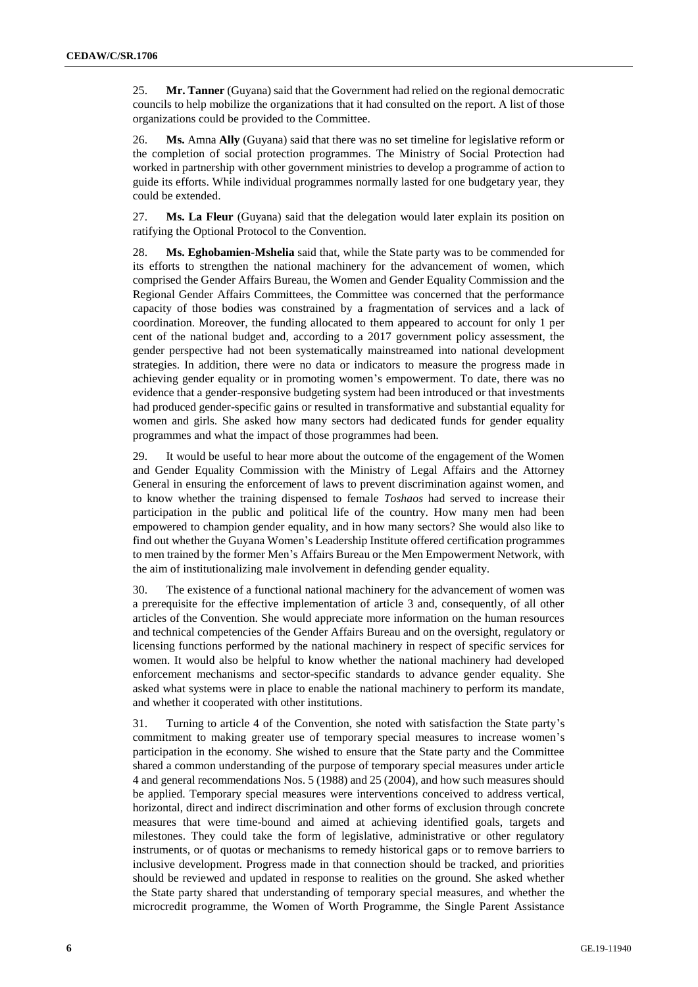25. **Mr. Tanner** (Guyana) said that the Government had relied on the regional democratic councils to help mobilize the organizations that it had consulted on the report. A list of those organizations could be provided to the Committee.

26. **Ms.** Amna **Ally** (Guyana) said that there was no set timeline for legislative reform or the completion of social protection programmes. The Ministry of Social Protection had worked in partnership with other government ministries to develop a programme of action to guide its efforts. While individual programmes normally lasted for one budgetary year, they could be extended.

27. **Ms. La Fleur** (Guyana) said that the delegation would later explain its position on ratifying the Optional Protocol to the Convention.

28. **Ms. Eghobamien-Mshelia** said that, while the State party was to be commended for its efforts to strengthen the national machinery for the advancement of women, which comprised the Gender Affairs Bureau, the Women and Gender Equality Commission and the Regional Gender Affairs Committees, the Committee was concerned that the performance capacity of those bodies was constrained by a fragmentation of services and a lack of coordination. Moreover, the funding allocated to them appeared to account for only 1 per cent of the national budget and, according to a 2017 government policy assessment, the gender perspective had not been systematically mainstreamed into national development strategies. In addition, there were no data or indicators to measure the progress made in achieving gender equality or in promoting women's empowerment. To date, there was no evidence that a gender-responsive budgeting system had been introduced or that investments had produced gender-specific gains or resulted in transformative and substantial equality for women and girls. She asked how many sectors had dedicated funds for gender equality programmes and what the impact of those programmes had been.

29. It would be useful to hear more about the outcome of the engagement of the Women and Gender Equality Commission with the Ministry of Legal Affairs and the Attorney General in ensuring the enforcement of laws to prevent discrimination against women, and to know whether the training dispensed to female *Toshaos* had served to increase their participation in the public and political life of the country. How many men had been empowered to champion gender equality, and in how many sectors? She would also like to find out whether the Guyana Women's Leadership Institute offered certification programmes to men trained by the former Men's Affairs Bureau or the Men Empowerment Network, with the aim of institutionalizing male involvement in defending gender equality.

30. The existence of a functional national machinery for the advancement of women was a prerequisite for the effective implementation of article 3 and, consequently, of all other articles of the Convention. She would appreciate more information on the human resources and technical competencies of the Gender Affairs Bureau and on the oversight, regulatory or licensing functions performed by the national machinery in respect of specific services for women. It would also be helpful to know whether the national machinery had developed enforcement mechanisms and sector-specific standards to advance gender equality. She asked what systems were in place to enable the national machinery to perform its mandate, and whether it cooperated with other institutions.

31. Turning to article 4 of the Convention, she noted with satisfaction the State party's commitment to making greater use of temporary special measures to increase women's participation in the economy. She wished to ensure that the State party and the Committee shared a common understanding of the purpose of temporary special measures under article 4 and general recommendations Nos. 5 (1988) and 25 (2004), and how such measures should be applied. Temporary special measures were interventions conceived to address vertical, horizontal, direct and indirect discrimination and other forms of exclusion through concrete measures that were time-bound and aimed at achieving identified goals, targets and milestones. They could take the form of legislative, administrative or other regulatory instruments, or of quotas or mechanisms to remedy historical gaps or to remove barriers to inclusive development. Progress made in that connection should be tracked, and priorities should be reviewed and updated in response to realities on the ground. She asked whether the State party shared that understanding of temporary special measures, and whether the microcredit programme, the Women of Worth Programme, the Single Parent Assistance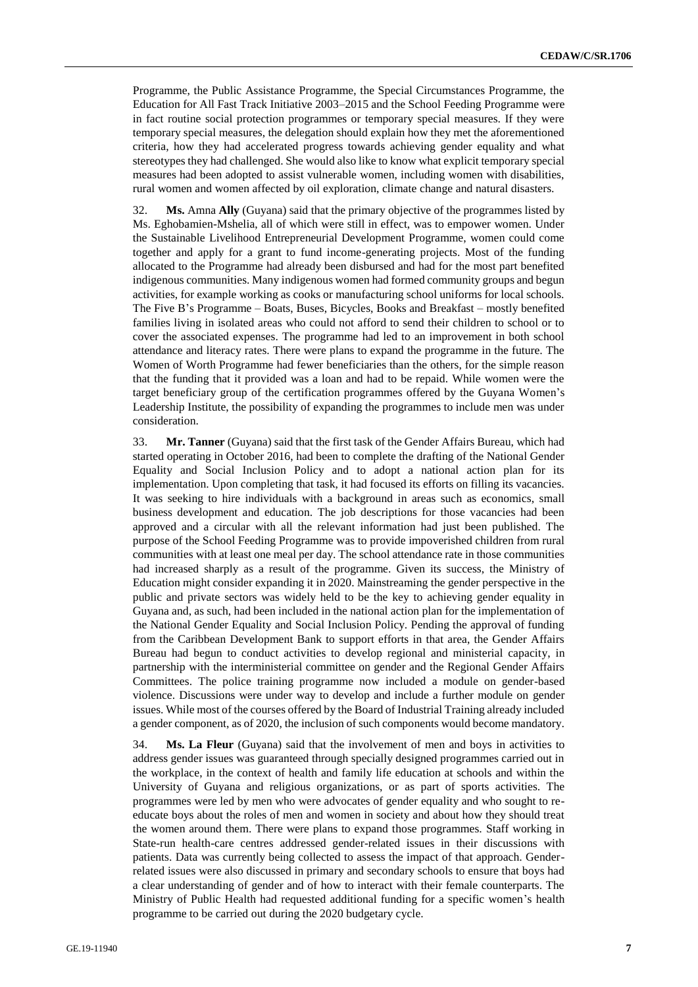Programme, the Public Assistance Programme, the Special Circumstances Programme, the Education for All Fast Track Initiative 2003–2015 and the School Feeding Programme were in fact routine social protection programmes or temporary special measures. If they were temporary special measures, the delegation should explain how they met the aforementioned criteria, how they had accelerated progress towards achieving gender equality and what stereotypes they had challenged. She would also like to know what explicit temporary special measures had been adopted to assist vulnerable women, including women with disabilities, rural women and women affected by oil exploration, climate change and natural disasters.

32. **Ms.** Amna **Ally** (Guyana) said that the primary objective of the programmes listed by Ms. Eghobamien-Mshelia, all of which were still in effect, was to empower women. Under the Sustainable Livelihood Entrepreneurial Development Programme, women could come together and apply for a grant to fund income-generating projects. Most of the funding allocated to the Programme had already been disbursed and had for the most part benefited indigenous communities. Many indigenous women had formed community groups and begun activities, for example working as cooks or manufacturing school uniforms for local schools. The Five B's Programme – Boats, Buses, Bicycles, Books and Breakfast – mostly benefited families living in isolated areas who could not afford to send their children to school or to cover the associated expenses. The programme had led to an improvement in both school attendance and literacy rates. There were plans to expand the programme in the future. The Women of Worth Programme had fewer beneficiaries than the others, for the simple reason that the funding that it provided was a loan and had to be repaid. While women were the target beneficiary group of the certification programmes offered by the Guyana Women's Leadership Institute, the possibility of expanding the programmes to include men was under consideration.

33. **Mr. Tanner** (Guyana) said that the first task of the Gender Affairs Bureau, which had started operating in October 2016, had been to complete the drafting of the National Gender Equality and Social Inclusion Policy and to adopt a national action plan for its implementation. Upon completing that task, it had focused its efforts on filling its vacancies. It was seeking to hire individuals with a background in areas such as economics, small business development and education. The job descriptions for those vacancies had been approved and a circular with all the relevant information had just been published. The purpose of the School Feeding Programme was to provide impoverished children from rural communities with at least one meal per day. The school attendance rate in those communities had increased sharply as a result of the programme. Given its success, the Ministry of Education might consider expanding it in 2020. Mainstreaming the gender perspective in the public and private sectors was widely held to be the key to achieving gender equality in Guyana and, as such, had been included in the national action plan for the implementation of the National Gender Equality and Social Inclusion Policy. Pending the approval of funding from the Caribbean Development Bank to support efforts in that area, the Gender Affairs Bureau had begun to conduct activities to develop regional and ministerial capacity, in partnership with the interministerial committee on gender and the Regional Gender Affairs Committees. The police training programme now included a module on gender-based violence. Discussions were under way to develop and include a further module on gender issues. While most of the courses offered by the Board of Industrial Training already included a gender component, as of 2020, the inclusion of such components would become mandatory.

34. **Ms. La Fleur** (Guyana) said that the involvement of men and boys in activities to address gender issues was guaranteed through specially designed programmes carried out in the workplace, in the context of health and family life education at schools and within the University of Guyana and religious organizations, or as part of sports activities. The programmes were led by men who were advocates of gender equality and who sought to reeducate boys about the roles of men and women in society and about how they should treat the women around them. There were plans to expand those programmes. Staff working in State-run health-care centres addressed gender-related issues in their discussions with patients. Data was currently being collected to assess the impact of that approach. Genderrelated issues were also discussed in primary and secondary schools to ensure that boys had a clear understanding of gender and of how to interact with their female counterparts. The Ministry of Public Health had requested additional funding for a specific women's health programme to be carried out during the 2020 budgetary cycle.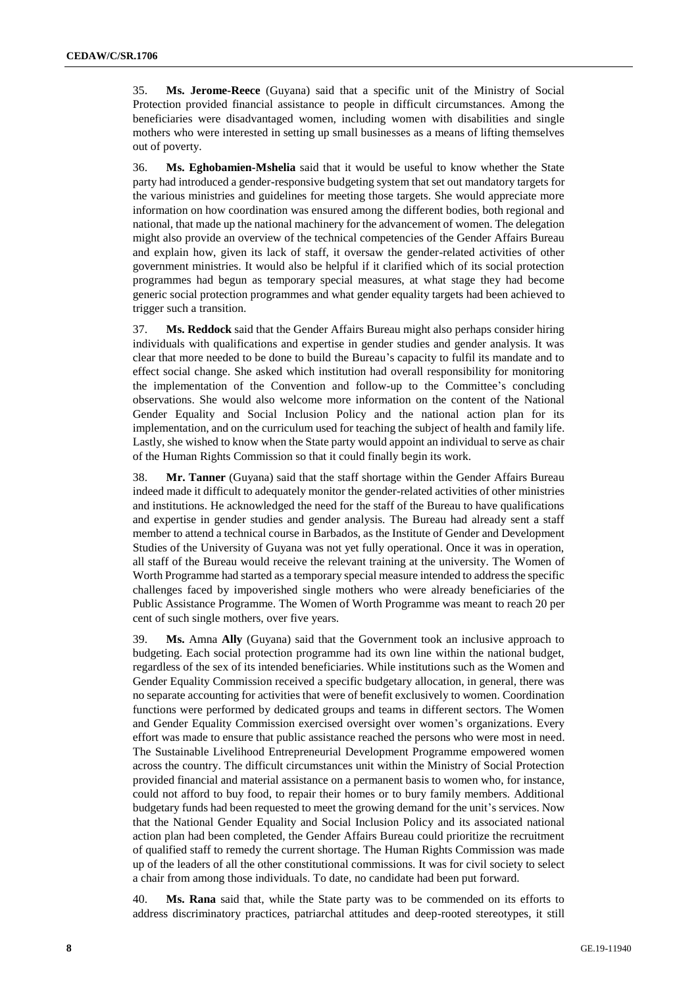35. **Ms. Jerome-Reece** (Guyana) said that a specific unit of the Ministry of Social Protection provided financial assistance to people in difficult circumstances. Among the beneficiaries were disadvantaged women, including women with disabilities and single mothers who were interested in setting up small businesses as a means of lifting themselves out of poverty.

36. **Ms. Eghobamien-Mshelia** said that it would be useful to know whether the State party had introduced a gender-responsive budgeting system that set out mandatory targets for the various ministries and guidelines for meeting those targets. She would appreciate more information on how coordination was ensured among the different bodies, both regional and national, that made up the national machinery for the advancement of women. The delegation might also provide an overview of the technical competencies of the Gender Affairs Bureau and explain how, given its lack of staff, it oversaw the gender-related activities of other government ministries. It would also be helpful if it clarified which of its social protection programmes had begun as temporary special measures, at what stage they had become generic social protection programmes and what gender equality targets had been achieved to trigger such a transition.

37. **Ms. Reddock** said that the Gender Affairs Bureau might also perhaps consider hiring individuals with qualifications and expertise in gender studies and gender analysis. It was clear that more needed to be done to build the Bureau's capacity to fulfil its mandate and to effect social change. She asked which institution had overall responsibility for monitoring the implementation of the Convention and follow-up to the Committee's concluding observations. She would also welcome more information on the content of the National Gender Equality and Social Inclusion Policy and the national action plan for its implementation, and on the curriculum used for teaching the subject of health and family life. Lastly, she wished to know when the State party would appoint an individual to serve as chair of the Human Rights Commission so that it could finally begin its work.

38. **Mr. Tanner** (Guyana) said that the staff shortage within the Gender Affairs Bureau indeed made it difficult to adequately monitor the gender-related activities of other ministries and institutions. He acknowledged the need for the staff of the Bureau to have qualifications and expertise in gender studies and gender analysis. The Bureau had already sent a staff member to attend a technical course in Barbados, as the Institute of Gender and Development Studies of the University of Guyana was not yet fully operational. Once it was in operation, all staff of the Bureau would receive the relevant training at the university. The Women of Worth Programme had started as a temporary special measure intended to address the specific challenges faced by impoverished single mothers who were already beneficiaries of the Public Assistance Programme. The Women of Worth Programme was meant to reach 20 per cent of such single mothers, over five years.

39. **Ms.** Amna **Ally** (Guyana) said that the Government took an inclusive approach to budgeting. Each social protection programme had its own line within the national budget, regardless of the sex of its intended beneficiaries. While institutions such as the Women and Gender Equality Commission received a specific budgetary allocation, in general, there was no separate accounting for activities that were of benefit exclusively to women. Coordination functions were performed by dedicated groups and teams in different sectors. The Women and Gender Equality Commission exercised oversight over women's organizations. Every effort was made to ensure that public assistance reached the persons who were most in need. The Sustainable Livelihood Entrepreneurial Development Programme empowered women across the country. The difficult circumstances unit within the Ministry of Social Protection provided financial and material assistance on a permanent basis to women who, for instance, could not afford to buy food, to repair their homes or to bury family members. Additional budgetary funds had been requested to meet the growing demand for the unit's services. Now that the National Gender Equality and Social Inclusion Policy and its associated national action plan had been completed, the Gender Affairs Bureau could prioritize the recruitment of qualified staff to remedy the current shortage. The Human Rights Commission was made up of the leaders of all the other constitutional commissions. It was for civil society to select a chair from among those individuals. To date, no candidate had been put forward.

40. **Ms. Rana** said that, while the State party was to be commended on its efforts to address discriminatory practices, patriarchal attitudes and deep-rooted stereotypes, it still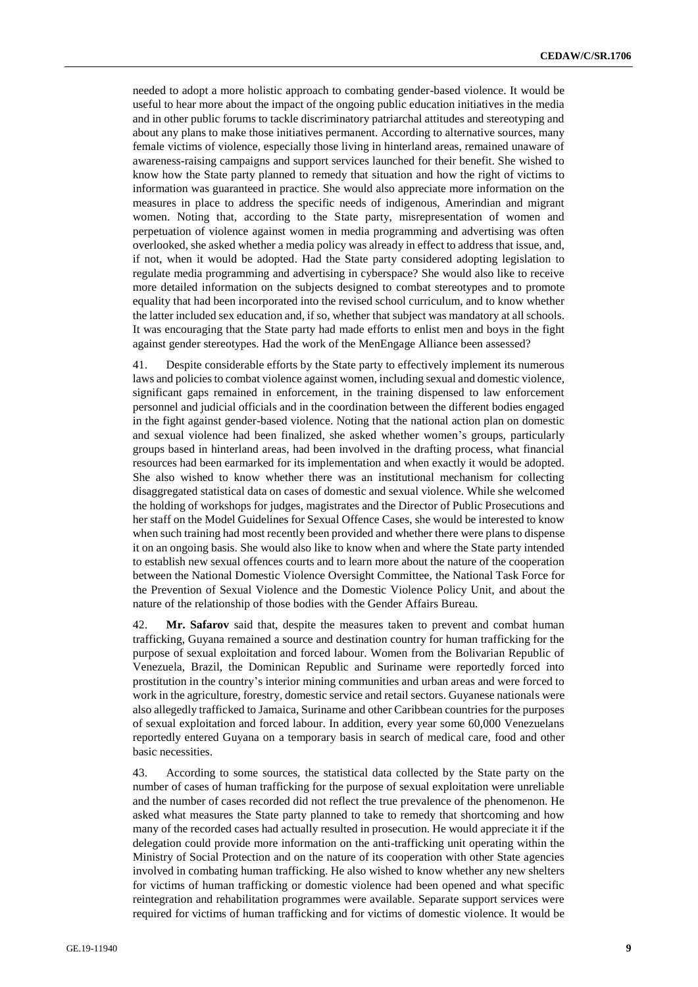needed to adopt a more holistic approach to combating gender-based violence. It would be useful to hear more about the impact of the ongoing public education initiatives in the media and in other public forums to tackle discriminatory patriarchal attitudes and stereotyping and about any plans to make those initiatives permanent. According to alternative sources, many female victims of violence, especially those living in hinterland areas, remained unaware of awareness-raising campaigns and support services launched for their benefit. She wished to know how the State party planned to remedy that situation and how the right of victims to information was guaranteed in practice. She would also appreciate more information on the measures in place to address the specific needs of indigenous, Amerindian and migrant women. Noting that, according to the State party, misrepresentation of women and perpetuation of violence against women in media programming and advertising was often overlooked, she asked whether a media policy was already in effect to address that issue, and, if not, when it would be adopted. Had the State party considered adopting legislation to regulate media programming and advertising in cyberspace? She would also like to receive more detailed information on the subjects designed to combat stereotypes and to promote equality that had been incorporated into the revised school curriculum, and to know whether the latter included sex education and, if so, whether that subject was mandatory at all schools. It was encouraging that the State party had made efforts to enlist men and boys in the fight against gender stereotypes. Had the work of the MenEngage Alliance been assessed?

41. Despite considerable efforts by the State party to effectively implement its numerous laws and policies to combat violence against women, including sexual and domestic violence, significant gaps remained in enforcement, in the training dispensed to law enforcement personnel and judicial officials and in the coordination between the different bodies engaged in the fight against gender-based violence. Noting that the national action plan on domestic and sexual violence had been finalized, she asked whether women's groups, particularly groups based in hinterland areas, had been involved in the drafting process, what financial resources had been earmarked for its implementation and when exactly it would be adopted. She also wished to know whether there was an institutional mechanism for collecting disaggregated statistical data on cases of domestic and sexual violence. While she welcomed the holding of workshops for judges, magistrates and the Director of Public Prosecutions and her staff on the Model Guidelines for Sexual Offence Cases, she would be interested to know when such training had most recently been provided and whether there were plans to dispense it on an ongoing basis. She would also like to know when and where the State party intended to establish new sexual offences courts and to learn more about the nature of the cooperation between the National Domestic Violence Oversight Committee, the National Task Force for the Prevention of Sexual Violence and the Domestic Violence Policy Unit, and about the nature of the relationship of those bodies with the Gender Affairs Bureau.

42. **Mr. Safarov** said that, despite the measures taken to prevent and combat human trafficking, Guyana remained a source and destination country for human trafficking for the purpose of sexual exploitation and forced labour. Women from the Bolivarian Republic of Venezuela, Brazil, the Dominican Republic and Suriname were reportedly forced into prostitution in the country's interior mining communities and urban areas and were forced to work in the agriculture, forestry, domestic service and retail sectors. Guyanese nationals were also allegedly trafficked to Jamaica, Suriname and other Caribbean countries for the purposes of sexual exploitation and forced labour. In addition, every year some 60,000 Venezuelans reportedly entered Guyana on a temporary basis in search of medical care, food and other basic necessities.

43. According to some sources, the statistical data collected by the State party on the number of cases of human trafficking for the purpose of sexual exploitation were unreliable and the number of cases recorded did not reflect the true prevalence of the phenomenon. He asked what measures the State party planned to take to remedy that shortcoming and how many of the recorded cases had actually resulted in prosecution. He would appreciate it if the delegation could provide more information on the anti-trafficking unit operating within the Ministry of Social Protection and on the nature of its cooperation with other State agencies involved in combating human trafficking. He also wished to know whether any new shelters for victims of human trafficking or domestic violence had been opened and what specific reintegration and rehabilitation programmes were available. Separate support services were required for victims of human trafficking and for victims of domestic violence. It would be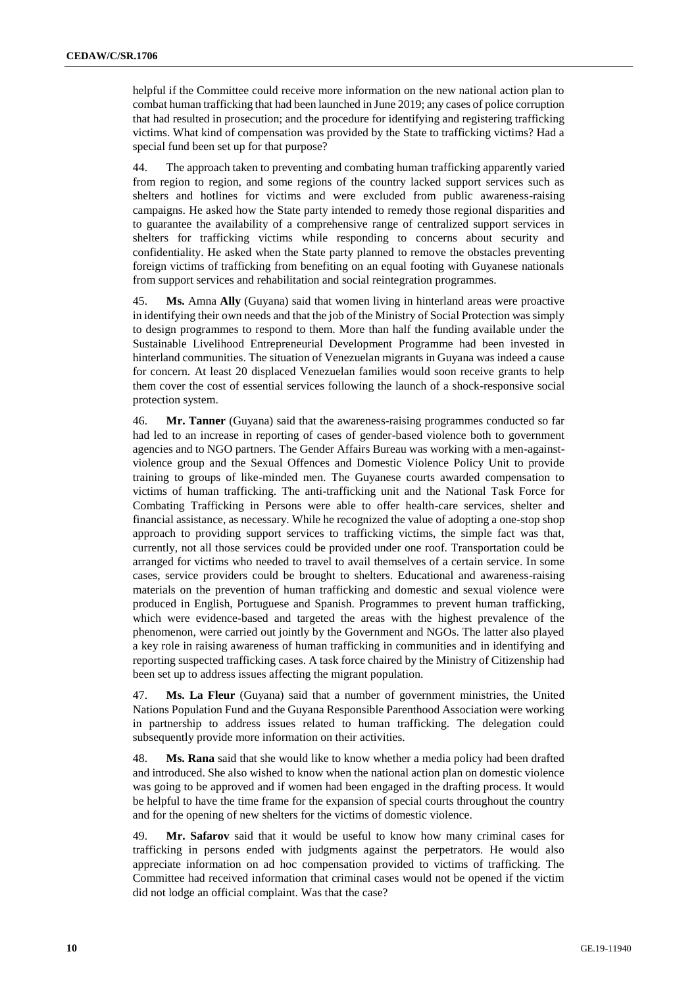helpful if the Committee could receive more information on the new national action plan to combat human trafficking that had been launched in June 2019; any cases of police corruption that had resulted in prosecution; and the procedure for identifying and registering trafficking victims. What kind of compensation was provided by the State to trafficking victims? Had a special fund been set up for that purpose?

44. The approach taken to preventing and combating human trafficking apparently varied from region to region, and some regions of the country lacked support services such as shelters and hotlines for victims and were excluded from public awareness-raising campaigns. He asked how the State party intended to remedy those regional disparities and to guarantee the availability of a comprehensive range of centralized support services in shelters for trafficking victims while responding to concerns about security and confidentiality. He asked when the State party planned to remove the obstacles preventing foreign victims of trafficking from benefiting on an equal footing with Guyanese nationals from support services and rehabilitation and social reintegration programmes.

45. **Ms.** Amna **Ally** (Guyana) said that women living in hinterland areas were proactive in identifying their own needs and that the job of the Ministry of Social Protection was simply to design programmes to respond to them. More than half the funding available under the Sustainable Livelihood Entrepreneurial Development Programme had been invested in hinterland communities. The situation of Venezuelan migrants in Guyana was indeed a cause for concern. At least 20 displaced Venezuelan families would soon receive grants to help them cover the cost of essential services following the launch of a shock-responsive social protection system.

46. **Mr. Tanner** (Guyana) said that the awareness-raising programmes conducted so far had led to an increase in reporting of cases of gender-based violence both to government agencies and to NGO partners. The Gender Affairs Bureau was working with a men-againstviolence group and the Sexual Offences and Domestic Violence Policy Unit to provide training to groups of like-minded men. The Guyanese courts awarded compensation to victims of human trafficking. The anti-trafficking unit and the National Task Force for Combating Trafficking in Persons were able to offer health-care services, shelter and financial assistance, as necessary. While he recognized the value of adopting a one-stop shop approach to providing support services to trafficking victims, the simple fact was that, currently, not all those services could be provided under one roof. Transportation could be arranged for victims who needed to travel to avail themselves of a certain service. In some cases, service providers could be brought to shelters. Educational and awareness-raising materials on the prevention of human trafficking and domestic and sexual violence were produced in English, Portuguese and Spanish. Programmes to prevent human trafficking, which were evidence-based and targeted the areas with the highest prevalence of the phenomenon, were carried out jointly by the Government and NGOs. The latter also played a key role in raising awareness of human trafficking in communities and in identifying and reporting suspected trafficking cases. A task force chaired by the Ministry of Citizenship had been set up to address issues affecting the migrant population.

47. **Ms. La Fleur** (Guyana) said that a number of government ministries, the United Nations Population Fund and the Guyana Responsible Parenthood Association were working in partnership to address issues related to human trafficking. The delegation could subsequently provide more information on their activities.

48. **Ms. Rana** said that she would like to know whether a media policy had been drafted and introduced. She also wished to know when the national action plan on domestic violence was going to be approved and if women had been engaged in the drafting process. It would be helpful to have the time frame for the expansion of special courts throughout the country and for the opening of new shelters for the victims of domestic violence.

49. **Mr. Safarov** said that it would be useful to know how many criminal cases for trafficking in persons ended with judgments against the perpetrators. He would also appreciate information on ad hoc compensation provided to victims of trafficking. The Committee had received information that criminal cases would not be opened if the victim did not lodge an official complaint. Was that the case?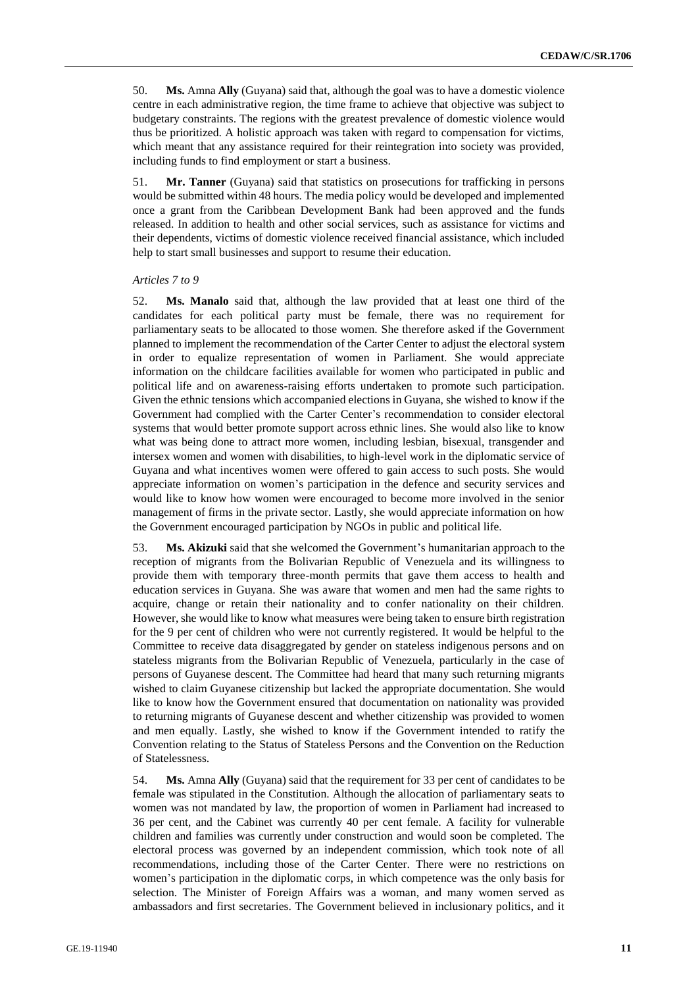50. **Ms.** Amna **Ally** (Guyana) said that, although the goal was to have a domestic violence centre in each administrative region, the time frame to achieve that objective was subject to budgetary constraints. The regions with the greatest prevalence of domestic violence would thus be prioritized. A holistic approach was taken with regard to compensation for victims, which meant that any assistance required for their reintegration into society was provided, including funds to find employment or start a business.

51. **Mr. Tanner** (Guyana) said that statistics on prosecutions for trafficking in persons would be submitted within 48 hours. The media policy would be developed and implemented once a grant from the Caribbean Development Bank had been approved and the funds released. In addition to health and other social services, such as assistance for victims and their dependents, victims of domestic violence received financial assistance, which included help to start small businesses and support to resume their education.

#### *Articles 7 to 9*

52. **Ms. Manalo** said that, although the law provided that at least one third of the candidates for each political party must be female, there was no requirement for parliamentary seats to be allocated to those women. She therefore asked if the Government planned to implement the recommendation of the Carter Center to adjust the electoral system in order to equalize representation of women in Parliament. She would appreciate information on the childcare facilities available for women who participated in public and political life and on awareness-raising efforts undertaken to promote such participation. Given the ethnic tensions which accompanied elections in Guyana, she wished to know if the Government had complied with the Carter Center's recommendation to consider electoral systems that would better promote support across ethnic lines. She would also like to know what was being done to attract more women, including lesbian, bisexual, transgender and intersex women and women with disabilities, to high-level work in the diplomatic service of Guyana and what incentives women were offered to gain access to such posts. She would appreciate information on women's participation in the defence and security services and would like to know how women were encouraged to become more involved in the senior management of firms in the private sector. Lastly, she would appreciate information on how the Government encouraged participation by NGOs in public and political life.

53. **Ms. Akizuki** said that she welcomed the Government's humanitarian approach to the reception of migrants from the Bolivarian Republic of Venezuela and its willingness to provide them with temporary three-month permits that gave them access to health and education services in Guyana. She was aware that women and men had the same rights to acquire, change or retain their nationality and to confer nationality on their children. However, she would like to know what measures were being taken to ensure birth registration for the 9 per cent of children who were not currently registered. It would be helpful to the Committee to receive data disaggregated by gender on stateless indigenous persons and on stateless migrants from the Bolivarian Republic of Venezuela, particularly in the case of persons of Guyanese descent. The Committee had heard that many such returning migrants wished to claim Guyanese citizenship but lacked the appropriate documentation. She would like to know how the Government ensured that documentation on nationality was provided to returning migrants of Guyanese descent and whether citizenship was provided to women and men equally. Lastly, she wished to know if the Government intended to ratify the Convention relating to the Status of Stateless Persons and the Convention on the Reduction of Statelessness.

54. **Ms.** Amna **Ally** (Guyana) said that the requirement for 33 per cent of candidates to be female was stipulated in the Constitution. Although the allocation of parliamentary seats to women was not mandated by law, the proportion of women in Parliament had increased to 36 per cent, and the Cabinet was currently 40 per cent female. A facility for vulnerable children and families was currently under construction and would soon be completed. The electoral process was governed by an independent commission, which took note of all recommendations, including those of the Carter Center. There were no restrictions on women's participation in the diplomatic corps, in which competence was the only basis for selection. The Minister of Foreign Affairs was a woman, and many women served as ambassadors and first secretaries. The Government believed in inclusionary politics, and it